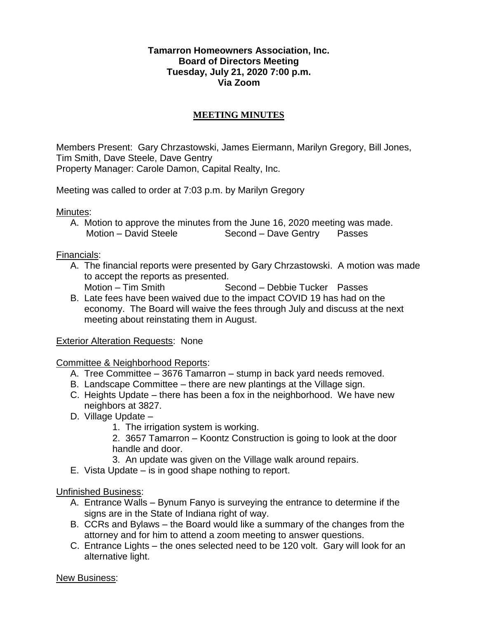### **Tamarron Homeowners Association, Inc. Board of Directors Meeting Tuesday, July 21, 2020 7:00 p.m. Via Zoom**

# **MEETING MINUTES**

Members Present: Gary Chrzastowski, James Eiermann, Marilyn Gregory, Bill Jones, Tim Smith, Dave Steele, Dave Gentry Property Manager: Carole Damon, Capital Realty, Inc.

Meeting was called to order at 7:03 p.m. by Marilyn Gregory

Minutes:

A. Motion to approve the minutes from the June 16, 2020 meeting was made. Motion – David Steele Second – Dave Gentry Passes

Financials:

- A. The financial reports were presented by Gary Chrzastowski. A motion was made to accept the reports as presented.
	- Motion Tim Smith Second Debbie Tucker Passes
- B. Late fees have been waived due to the impact COVID 19 has had on the economy. The Board will waive the fees through July and discuss at the next meeting about reinstating them in August.

#### Exterior Alteration Requests: None

## Committee & Neighborhood Reports:

- A. Tree Committee 3676 Tamarron stump in back yard needs removed.
- B. Landscape Committee there are new plantings at the Village sign.
- C. Heights Update there has been a fox in the neighborhood. We have new neighbors at 3827.
- D. Village Update
	- 1. The irrigation system is working.
	- 2. 3657 Tamarron Koontz Construction is going to look at the door handle and door.
	- 3. An update was given on the Village walk around repairs.
- E. Vista Update is in good shape nothing to report.

## Unfinished Business:

- A. Entrance Walls Bynum Fanyo is surveying the entrance to determine if the signs are in the State of Indiana right of way.
- B. CCRs and Bylaws the Board would like a summary of the changes from the attorney and for him to attend a zoom meeting to answer questions.
- C. Entrance Lights the ones selected need to be 120 volt. Gary will look for an alternative light.

New Business: